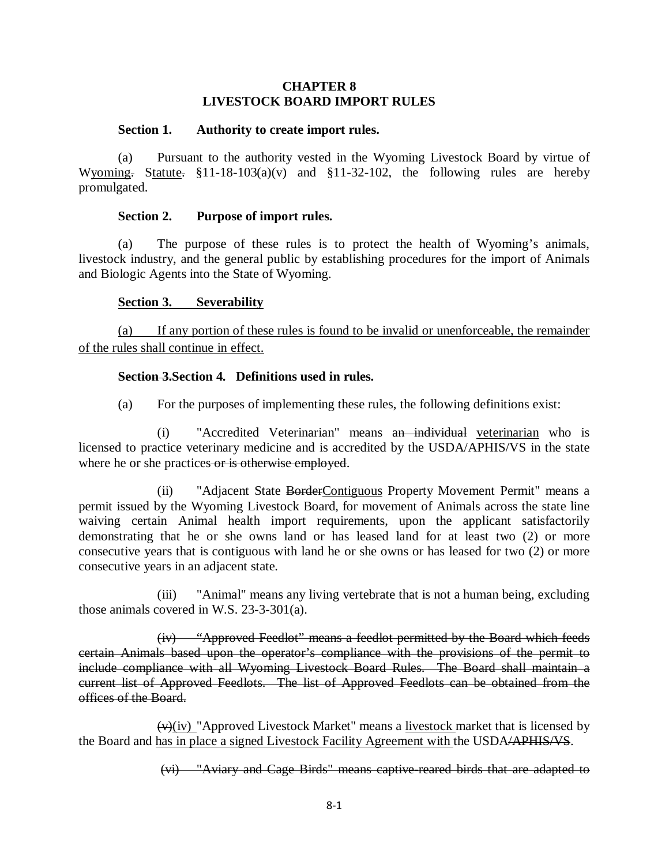## **CHAPTER 8 LIVESTOCK BOARD IMPORT RULES**

#### **Section 1. Authority to create import rules.**

(a) Pursuant to the authority vested in the Wyoming Livestock Board by virtue of Wyoming. Statute.  $$11-18-103(a)(v)$  and  $$11-32-102$ , the following rules are hereby promulgated.

#### **Section 2. Purpose of import rules.**

(a) The purpose of these rules is to protect the health of Wyoming's animals, livestock industry, and the general public by establishing procedures for the import of Animals and Biologic Agents into the State of Wyoming.

## **Section 3. Severability**

(a) If any portion of these rules is found to be invalid or unenforceable, the remainder of the rules shall continue in effect.

## **Section 3.Section 4. Definitions used in rules.**

(a) For the purposes of implementing these rules, the following definitions exist:

(i) "Accredited Veterinarian" means an individual veterinarian who is licensed to practice veterinary medicine and is accredited by the USDA/APHIS/VS in the state where he or she practices or is otherwise employed.

(ii) "Adjacent State BorderContiguous Property Movement Permit" means a permit issued by the Wyoming Livestock Board, for movement of Animals across the state line waiving certain Animal health import requirements, upon the applicant satisfactorily demonstrating that he or she owns land or has leased land for at least two (2) or more consecutive years that is contiguous with land he or she owns or has leased for two (2) or more consecutive years in an adjacent state.

(iii) "Animal" means any living vertebrate that is not a human being, excluding those animals covered in W.S. 23-3-301(a).

(iv) "Approved Feedlot" means a feedlot permitted by the Board which feeds certain Animals based upon the operator's compliance with the provisions of the permit to include compliance with all Wyoming Livestock Board Rules. The Board shall maintain a current list of Approved Feedlots. The list of Approved Feedlots can be obtained from the offices of the Board.

 $(v)(iv)$  "Approved Livestock Market" means a <u>livestock</u> market that is licensed by the Board and has in place a signed Livestock Facility Agreement with the USDA/APHIS/VS.

(vi) "Aviary and Cage Birds" means captive-reared birds that are adapted to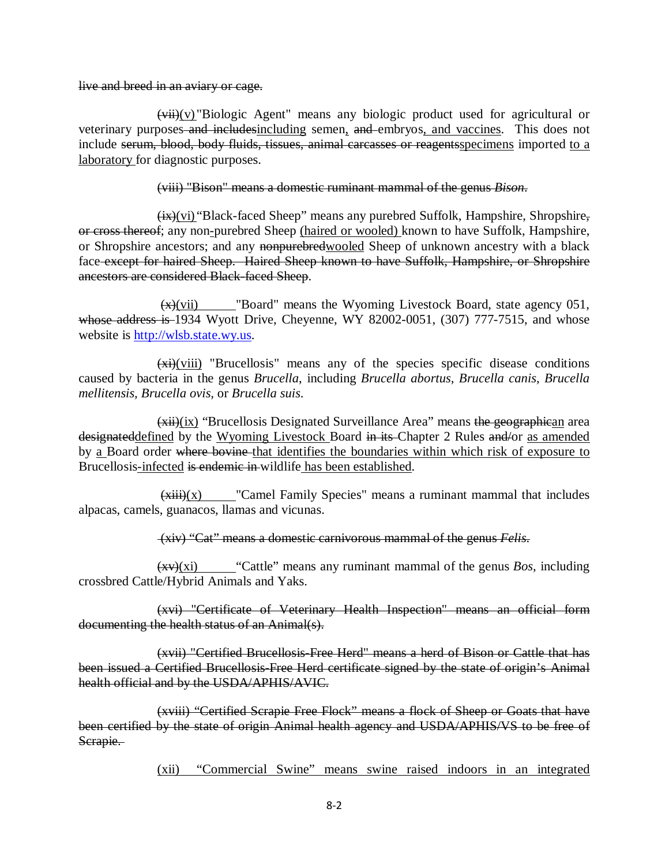#### live and breed in an aviary or cage.

 $\overrightarrow{vii}(v)$  "Biologic Agent" means any biologic product used for agricultural or veterinary purposes and includesincluding semen, and embryos, and vaccines. This does not include serum, blood, body fluids, tissues, animal carcasses or reagentsspecimens imported to a laboratory for diagnostic purposes.

#### (viii) "Bison" means a domestic ruminant mammal of the genus *Bison*.

 $\frac{f(x)}{y_1}$  "Black-faced Sheep" means any purebred Suffolk, Hampshire, Shropshire, or cross thereof; any non-purebred Sheep (haired or wooled) known to have Suffolk, Hampshire, or Shropshire ancestors; and any nonpurebredwooled Sheep of unknown ancestry with a black face except for haired Sheep. Haired Sheep known to have Suffolk, Hampshire, or Shropshire ancestors are considered Black-faced Sheep.

 $\frac{f(x)}{f(x)}$  "Board" means the Wyoming Livestock Board, state agency 051, whose address is 1934 Wyott Drive, Cheyenne, WY 82002-0051, (307) 777-7515, and whose website is [http://wlsb.state.wy.us.](http://wlsb.state.wy.us/)

 $\frac{(\overrightarrow{x})(\overrightarrow{vii})}{(\overrightarrow{viii})}$  "Brucellosis" means any of the species specific disease conditions caused by bacteria in the genus *Brucella*, including *Brucella abortus, Brucella canis, Brucella mellitensis, Brucella ovis,* or *Brucella suis*.

 $\overline{f(x)}$  (x) "Brucellosis Designated Surveillance Area" means the geographican area designateddefined by the Wyoming Livestock Board in its Chapter 2 Rules and/or as amended by a Board order where bovine that identifies the boundaries within which risk of exposure to Brucellosis-infected is endemic in wildlife has been established.

 $\frac{(\overrightarrow{xiii})(x)}{\overrightarrow{x}}$ "Camel Family Species" means a ruminant mammal that includes alpacas, camels, guanacos, llamas and vicunas.

(xiv) "Cat" means a domestic carnivorous mammal of the genus *Felis*.

(xv)(xi) "Cattle" means any ruminant mammal of the genus *Bos*, including crossbred Cattle/Hybrid Animals and Yaks.

(xvi) "Certificate of Veterinary Health Inspection" means an official form documenting the health status of an Animal(s).

(xvii) "Certified Brucellosis-Free Herd" means a herd of Bison or Cattle that has been issued a Certified Brucellosis-Free Herd certificate signed by the state of origin's Animal health official and by the USDA/APHIS/AVIC.

(xviii) "Certified Scrapie Free Flock" means a flock of Sheep or Goats that have been certified by the state of origin Animal health agency and USDA/APHIS/VS to be free of Scrapie.

(xii) "Commercial Swine" means swine raised indoors in an integrated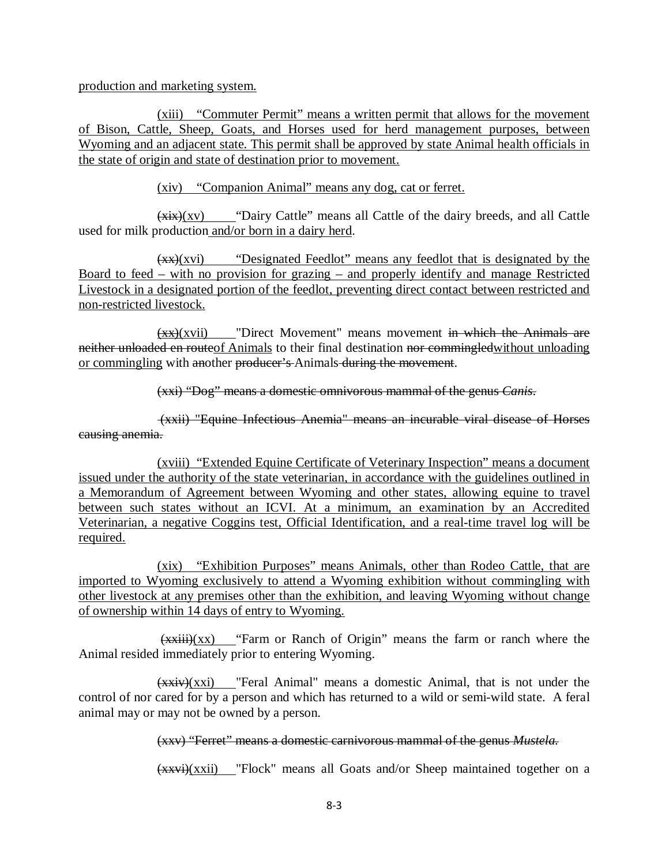production and marketing system.

(xiii) "Commuter Permit" means a written permit that allows for the movement of Bison, Cattle, Sheep, Goats, and Horses used for herd management purposes, between Wyoming and an adjacent state. This permit shall be approved by state Animal health officials in the state of origin and state of destination prior to movement.

(xiv) "Companion Animal" means any dog, cat or ferret.

 $(xix)(xv)$  "Dairy Cattle" means all Cattle of the dairy breeds, and all Cattle used for milk production and/or born in a dairy herd.

(xx)(xvi) "Designated Feedlot" means any feedlot that is designated by the Board to feed – with no provision for grazing – and properly identify and manage Restricted Livestock in a designated portion of the feedlot, preventing direct contact between restricted and non-restricted livestock.

 $(xx)(xvii)$  "Direct Movement" means movement in which the Animals are neither unloaded en routeof Animals to their final destination nor commingled without unloading or commingling with another producer's Animals during the movement.

(xxi) "Dog" means a domestic omnivorous mammal of the genus *Canis*.

(xxii) "Equine Infectious Anemia" means an incurable viral disease of Horses causing anemia.

(xviii) "Extended Equine Certificate of Veterinary Inspection" means a document issued under the authority of the state veterinarian, in accordance with the guidelines outlined in a Memorandum of Agreement between Wyoming and other states, allowing equine to travel between such states without an ICVI. At a minimum, an examination by an Accredited Veterinarian, a negative Coggins test, Official Identification, and a real-time travel log will be required.

(xix) "Exhibition Purposes" means Animals, other than Rodeo Cattle, that are imported to Wyoming exclusively to attend a Wyoming exhibition without commingling with other livestock at any premises other than the exhibition, and leaving Wyoming without change of ownership within 14 days of entry to Wyoming.

 $(xxiii)(xx)$  "Farm or Ranch of Origin" means the farm or ranch where the Animal resided immediately prior to entering Wyoming.

(xxiv)(xxi) "Feral Animal" means a domestic Animal, that is not under the control of nor cared for by a person and which has returned to a wild or semi-wild state. A feral animal may or may not be owned by a person.

## (xxv) "Ferret" means a domestic carnivorous mammal of the genus *Mustela.*

(xxvi)(xxii) "Flock" means all Goats and/or Sheep maintained together on a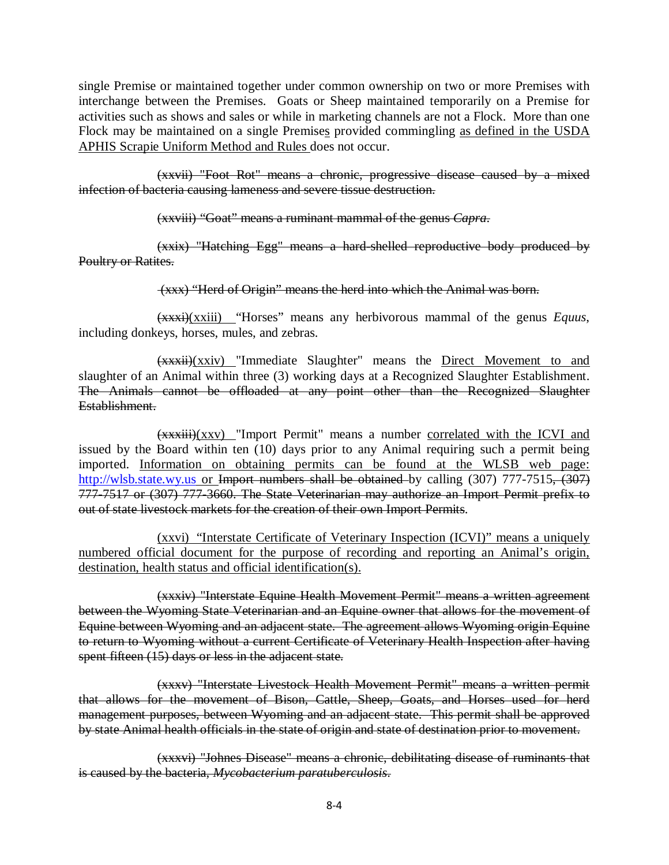single Premise or maintained together under common ownership on two or more Premises with interchange between the Premises. Goats or Sheep maintained temporarily on a Premise for activities such as shows and sales or while in marketing channels are not a Flock. More than one Flock may be maintained on a single Premises provided commingling as defined in the USDA APHIS Scrapie Uniform Method and Rules does not occur.

(xxvii) "Foot Rot" means a chronic, progressive disease caused by a mixed infection of bacteria causing lameness and severe tissue destruction.

(xxviii) "Goat" means a ruminant mammal of the genus *Capra*.

(xxix) "Hatching Egg" means a hard-shelled reproductive body produced by Poultry or Ratites.

(xxx) "Herd of Origin" means the herd into which the Animal was born.

(xxxi)(xxiii) "Horses" means any herbivorous mammal of the genus *Equus*, including donkeys, horses, mules, and zebras.

 $(xx\overrightarrow{x}x\overrightarrow{ii})$ (xxiv) "Immediate Slaughter" means the Direct Movement to and slaughter of an Animal within three (3) working days at a Recognized Slaughter Establishment. The Animals cannot be offloaded at any point other than the Recognized Slaughter Establishment.

(xxxiii)(xxv) "Import Permit" means a number correlated with the ICVI and issued by the Board within ten (10) days prior to any Animal requiring such a permit being imported. Information on obtaining permits can be found at the WLSB web page: [http://wlsb.state.wy.us](http://wlsb.state.wy.us/) or Import numbers shall be obtained by calling (307) 777-7515, (307) 777-7517 or (307) 777-3660. The State Veterinarian may authorize an Import Permit prefix to out of state livestock markets for the creation of their own Import Permits.

(xxvi) "Interstate Certificate of Veterinary Inspection (ICVI)" means a uniquely numbered official document for the purpose of recording and reporting an Animal's origin, destination, health status and official identification(s).

(xxxiv) "Interstate Equine Health Movement Permit" means a written agreement between the Wyoming State Veterinarian and an Equine owner that allows for the movement of Equine between Wyoming and an adjacent state. The agreement allows Wyoming origin Equine to return to Wyoming without a current Certificate of Veterinary Health Inspection after having spent fifteen (15) days or less in the adjacent state.

(xxxv) "Interstate Livestock Health Movement Permit" means a written permit that allows for the movement of Bison, Cattle, Sheep, Goats, and Horses used for herd management purposes, between Wyoming and an adjacent state. This permit shall be approved by state Animal health officials in the state of origin and state of destination prior to movement.

(xxxvi) "Johnes Disease" means a chronic, debilitating disease of ruminants that is caused by the bacteria, *Mycobacterium paratuberculosis*.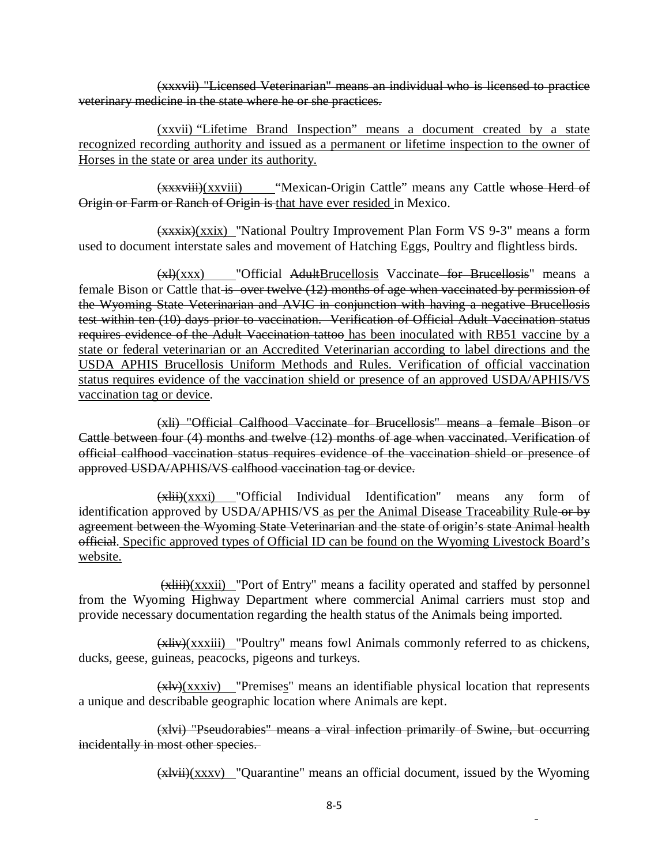(xxxvii) "Licensed Veterinarian" means an individual who is licensed to practice veterinary medicine in the state where he or she practices.

(xxvii) "Lifetime Brand Inspection" means a document created by a state recognized recording authority and issued as a permanent or lifetime inspection to the owner of Horses in the state or area under its authority.

(xxxviii)(xxviii) "Mexican-Origin Cattle" means any Cattle whose Herd of Origin or Farm or Ranch of Origin is that have ever resided in Mexico.

(xxxix)(xxix) "National Poultry Improvement Plan Form VS 9-3" means a form used to document interstate sales and movement of Hatching Eggs, Poultry and flightless birds.

 $(x)$ (xxx) "Official AdultBrucellosis Vaccinate for Brucellosis" means a female Bison or Cattle that is over twelve (12) months of age when vaccinated by permission of the Wyoming State Veterinarian and AVIC in conjunction with having a negative Brucellosis test within ten (10) days prior to vaccination. Verification of Official Adult Vaccination status requires evidence of the Adult Vaccination tattoo has been inoculated with RB51 vaccine by a state or federal veterinarian or an Accredited Veterinarian according to label directions and the USDA APHIS Brucellosis Uniform Methods and Rules. Verification of official vaccination status requires evidence of the vaccination shield or presence of an approved USDA/APHIS/VS vaccination tag or device.

(xli) "Official Calfhood Vaccinate for Brucellosis" means a female Bison or Cattle between four (4) months and twelve (12) months of age when vaccinated. Verification of official calfhood vaccination status requires evidence of the vaccination shield or presence of approved USDA/APHIS/VS calfhood vaccination tag or device.

 $(x\text{hii})(xxx)$  "Official Individual Identification" means any form of identification approved by USDA/APHIS/VS as per the Animal Disease Traceability Rule or by agreement between the Wyoming State Veterinarian and the state of origin's state Animal health official. Specific approved types of Official ID can be found on the Wyoming Livestock Board's website.

 $(x\lambda)$  (xxxii) "Port of Entry" means a facility operated and staffed by personnel from the Wyoming Highway Department where commercial Animal carriers must stop and provide necessary documentation regarding the health status of the Animals being imported.

(xliv)(xxxiii) "Poultry" means fowl Animals commonly referred to as chickens, ducks, geese, guineas, peacocks, pigeons and turkeys.

 $(x \mid y)(xxx \mid y)$  "Premises" means an identifiable physical location that represents a unique and describable geographic location where Animals are kept.

(xlvi) "Pseudorabies" means a viral infection primarily of Swine, but occurring incidentally in most other species.

 $(xlvii)(xxxv)$  "Quarantine" means an official document, issued by the Wyoming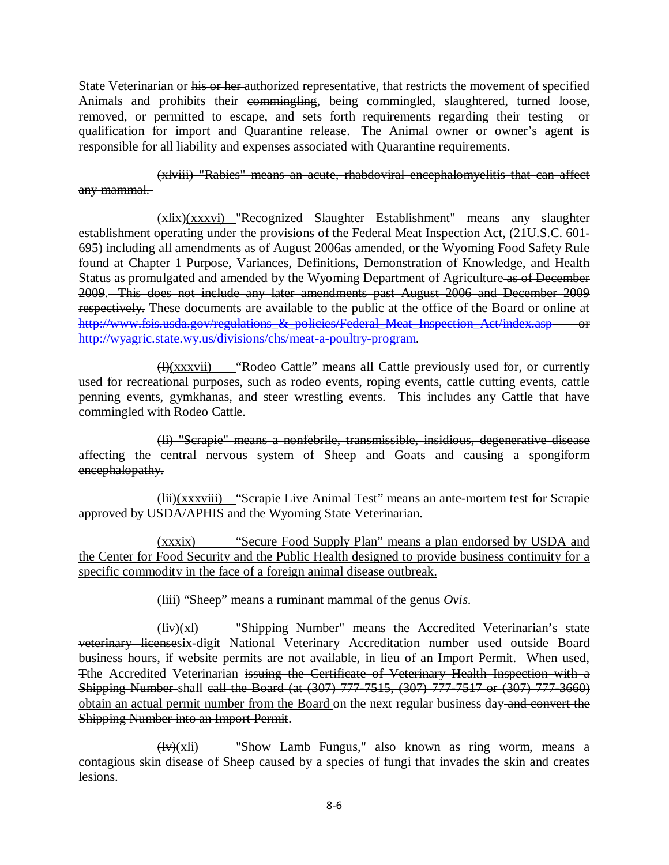State Veterinarian or his or her authorized representative, that restricts the movement of specified Animals and prohibits their commingling, being commingled, slaughtered, turned loose, removed, or permitted to escape, and sets forth requirements regarding their testing or qualification for import and Quarantine release. The Animal owner or owner's agent is responsible for all liability and expenses associated with Quarantine requirements.

(xlviii) "Rabies" means an acute, rhabdoviral encephalomyelitis that can affect any mammal.

(xlix)(xxxvi) "Recognized Slaughter Establishment" means any slaughter establishment operating under the provisions of the Federal Meat Inspection Act, (21U.S.C. 601- 695) including all amendments as of August 2006as amended, or the Wyoming Food Safety Rule found at Chapter 1 Purpose, Variances, Definitions, Demonstration of Knowledge, and Health Status as promulgated and amended by the Wyoming Department of Agriculture as of December 2009. This does not include any later amendments past August 2006 and December 2009 respectively. These documents are available to the public at the office of the Board or online at http://www.fsis.usda.gov/regulations & policies/Federal Meat Inspection Act/index.asp or [http://wyagric.state.wy.us/divisions/chs/meat-a-poultry-program.](http://wyagric.state.wy.us/divisions/chs/meat-a-poultry-program)

 $\bigoplus$ (xxxvii) "Rodeo Cattle" means all Cattle previously used for, or currently used for recreational purposes, such as rodeo events, roping events, cattle cutting events, cattle penning events, gymkhanas, and steer wrestling events. This includes any Cattle that have commingled with Rodeo Cattle.

(li) "Scrapie" means a nonfebrile, transmissible, insidious, degenerative disease affecting the central nervous system of Sheep and Goats and causing a spongiform encephalopathy.

(lii)(xxxviii) "Scrapie Live Animal Test" means an ante-mortem test for Scrapie approved by USDA/APHIS and the Wyoming State Veterinarian.

(xxxix) "Secure Food Supply Plan" means a plan endorsed by USDA and the Center for Food Security and the Public Health designed to provide business continuity for a specific commodity in the face of a foreign animal disease outbreak.

## (liii) "Sheep" means a ruminant mammal of the genus *Ovis*.

 $(Hiv)(xI)$  "Shipping Number" means the Accredited Veterinarian's state veterinary licensesix-digit National Veterinary Accreditation number used outside Board business hours, if website permits are not available, in lieu of an Import Permit. When used, Tthe Accredited Veterinarian issuing the Certificate of Veterinary Health Inspection with a Shipping Number shall call the Board (at (307) 777-7515, (307) 777-7517 or (307) 777-3660) obtain an actual permit number from the Board on the next regular business day and convert the Shipping Number into an Import Permit.

 $\frac{H(y)}{X}$  = "Show Lamb Fungus," also known as ring worm, means a contagious skin disease of Sheep caused by a species of fungi that invades the skin and creates lesions.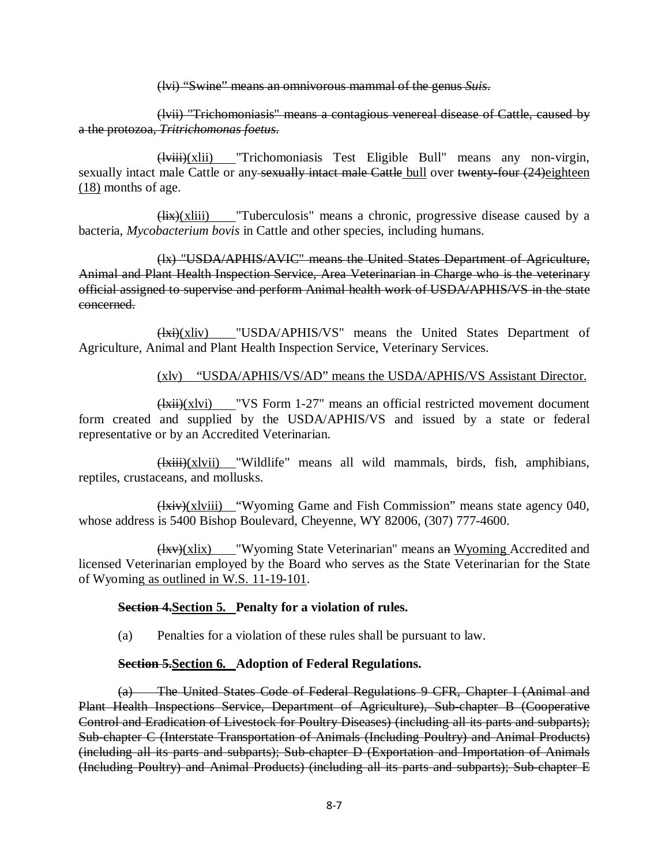(lvi) "Swine" means an omnivorous mammal of the genus *Suis*.

(lvii) "Trichomoniasis" means a contagious venereal disease of Cattle, caused by a the protozoa, *Tritrichomonas foetus*.

(lviii)(xlii) "Trichomoniasis Test Eligible Bull" means any non-virgin, sexually intact male Cattle or any sexually intact male Cattle bull over twenty-four (24)eighteen (18) months of age.

 $(Hix)(x)$  "Tuberculosis" means a chronic, progressive disease caused by a bacteria, *Mycobacterium bovis* in Cattle and other species, including humans.

(lx) "USDA/APHIS/AVIC" means the United States Department of Agriculture, Animal and Plant Health Inspection Service, Area Veterinarian in Charge who is the veterinary official assigned to supervise and perform Animal health work of USDA/APHIS/VS in the state concerned.

(lxi)(xliv) "USDA/APHIS/VS" means the United States Department of Agriculture, Animal and Plant Health Inspection Service, Veterinary Services.

#### (xlv) "USDA/APHIS/VS/AD" means the USDA/APHIS/VS Assistant Director.

(lxii)(xlvi) "VS Form 1-27" means an official restricted movement document form created and supplied by the USDA/APHIS/VS and issued by a state or federal representative or by an Accredited Veterinarian.

 $\frac{d}{d}$  (lxiii)(xlvii) "Wildlife" means all wild mammals, birds, fish, amphibians, reptiles, crustaceans, and mollusks.

 $(Hxiv)(xlviii)$  "Wyoming Game and Fish Commission" means state agency 040, whose address is 5400 Bishop Boulevard, Cheyenne, WY 82006, (307) 777-4600.

(lxv)(xlix) "Wyoming State Veterinarian" means an Wyoming Accredited and licensed Veterinarian employed by the Board who serves as the State Veterinarian for the State of Wyoming as outlined in W.S. 11-19-101.

#### **Section 4.Section 5. Penalty for a violation of rules.**

(a) Penalties for a violation of these rules shall be pursuant to law.

## **Section 5.Section 6. Adoption of Federal Regulations.**

(a) The United States Code of Federal Regulations 9 CFR, Chapter I (Animal and Plant Health Inspections Service, Department of Agriculture), Sub-chapter B (Cooperative Control and Eradication of Livestock for Poultry Diseases) (including all its parts and subparts); Sub-chapter C (Interstate Transportation of Animals (Including Poultry) and Animal Products) (including all its parts and subparts); Sub-chapter D (Exportation and Importation of Animals (Including Poultry) and Animal Products) (including all its parts and subparts); Sub-chapter E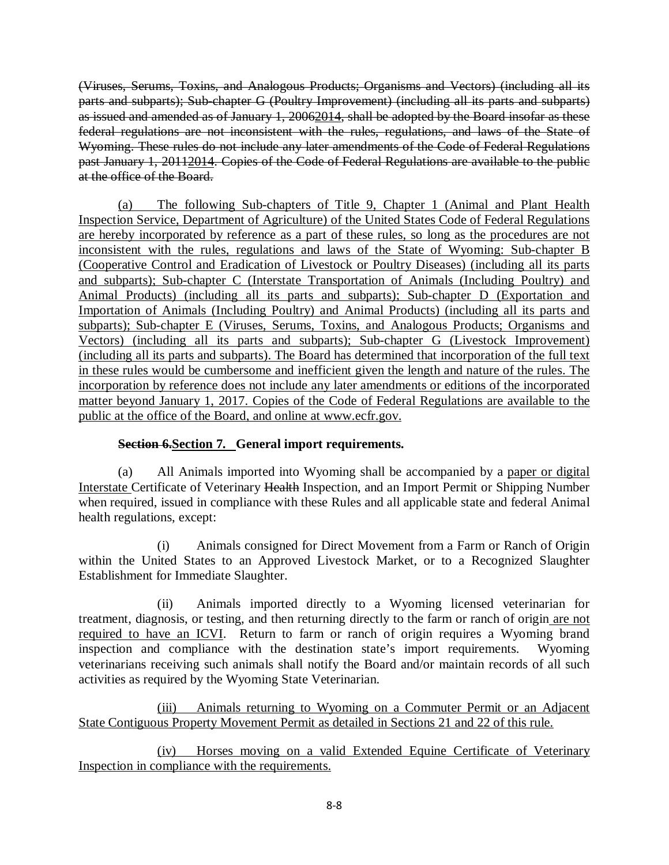(Viruses, Serums, Toxins, and Analogous Products; Organisms and Vectors) (including all its parts and subparts); Sub-chapter G (Poultry Improvement) (including all its parts and subparts) as issued and amended as of January 1, 20062014, shall be adopted by the Board insofar as these federal regulations are not inconsistent with the rules, regulations, and laws of the State of Wyoming. These rules do not include any later amendments of the Code of Federal Regulations past January 1, 20112014. Copies of the Code of Federal Regulations are available to the public at the office of the Board.

(a) The following Sub-chapters of Title 9, Chapter 1 (Animal and Plant Health Inspection Service, Department of Agriculture) of the United States Code of Federal Regulations are hereby incorporated by reference as a part of these rules, so long as the procedures are not inconsistent with the rules, regulations and laws of the State of Wyoming: Sub-chapter B (Cooperative Control and Eradication of Livestock or Poultry Diseases) (including all its parts and subparts); Sub-chapter C (Interstate Transportation of Animals (Including Poultry) and Animal Products) (including all its parts and subparts); Sub-chapter D (Exportation and Importation of Animals (Including Poultry) and Animal Products) (including all its parts and subparts); Sub-chapter E (Viruses, Serums, Toxins, and Analogous Products; Organisms and Vectors) (including all its parts and subparts); Sub-chapter G (Livestock Improvement) (including all its parts and subparts). The Board has determined that incorporation of the full text in these rules would be cumbersome and inefficient given the length and nature of the rules. The incorporation by reference does not include any later amendments or editions of the incorporated matter beyond January 1, 2017. Copies of the Code of Federal Regulations are available to the public at the office of the Board, and online at www.ecfr.gov.

# **Section 6.Section 7. General import requirements.**

(a) All Animals imported into Wyoming shall be accompanied by a paper or digital Interstate Certificate of Veterinary Health Inspection, and an Import Permit or Shipping Number when required, issued in compliance with these Rules and all applicable state and federal Animal health regulations, except:

(i) Animals consigned for Direct Movement from a Farm or Ranch of Origin within the United States to an Approved Livestock Market, or to a Recognized Slaughter Establishment for Immediate Slaughter.

(ii) Animals imported directly to a Wyoming licensed veterinarian for treatment, diagnosis, or testing, and then returning directly to the farm or ranch of origin are not required to have an ICVI. Return to farm or ranch of origin requires a Wyoming brand inspection and compliance with the destination state's import requirements. Wyoming veterinarians receiving such animals shall notify the Board and/or maintain records of all such activities as required by the Wyoming State Veterinarian.

(iii) Animals returning to Wyoming on a Commuter Permit or an Adjacent State Contiguous Property Movement Permit as detailed in Sections 21 and 22 of this rule.

(iv) Horses moving on a valid Extended Equine Certificate of Veterinary Inspection in compliance with the requirements.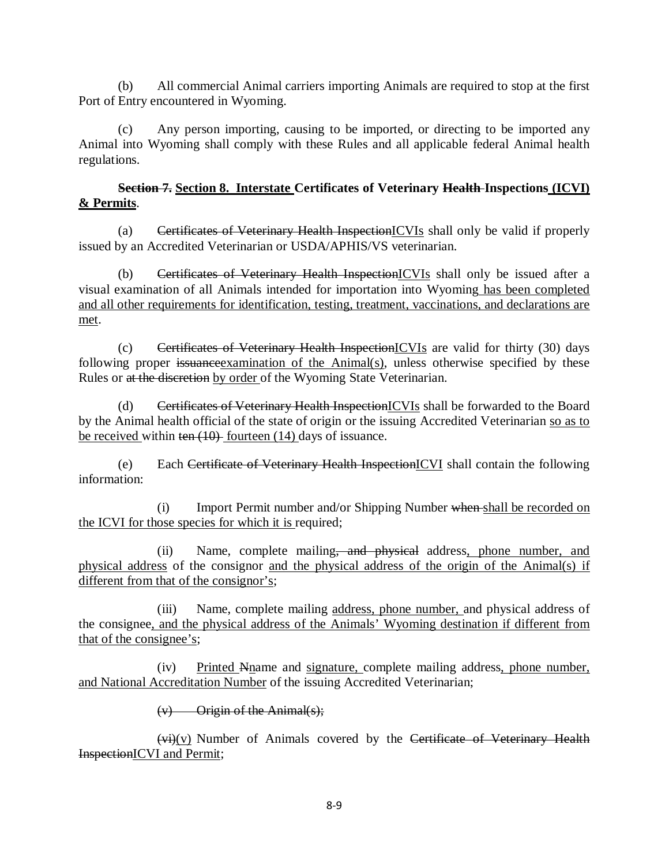(b) All commercial Animal carriers importing Animals are required to stop at the first Port of Entry encountered in Wyoming.

(c) Any person importing, causing to be imported, or directing to be imported any Animal into Wyoming shall comply with these Rules and all applicable federal Animal health regulations.

## **Section 7. Section 8. Interstate Certificates of Veterinary Health Inspections (ICVI) & Permits**.

(a) Certificates of Veterinary Health InspectionICVIs shall only be valid if properly issued by an Accredited Veterinarian or USDA/APHIS/VS veterinarian.

(b) Certificates of Veterinary Health InspectionICVIs shall only be issued after a visual examination of all Animals intended for importation into Wyoming has been completed and all other requirements for identification, testing, treatment, vaccinations, and declarations are met.

(c) Certificates of Veterinary Health InspectionICVIs are valid for thirty (30) days following proper issuance examination of the Animal(s), unless otherwise specified by these Rules or at the discretion by order of the Wyoming State Veterinarian.

(d) Certificates of Veterinary Health InspectionICVIs shall be forwarded to the Board by the Animal health official of the state of origin or the issuing Accredited Veterinarian so as to be received within ten  $(10)$  fourteen  $(14)$  days of issuance.

(e) Each Certificate of Veterinary Health InspectionICVI shall contain the following information:

(i) Import Permit number and/or Shipping Number when shall be recorded on the ICVI for those species for which it is required;

(ii) Name, complete mailing, and physical address, phone number, and physical address of the consignor and the physical address of the origin of the Animal(s) if different from that of the consignor's;

(iii) Name, complete mailing address, phone number, and physical address of the consignee, and the physical address of the Animals' Wyoming destination if different from that of the consignee's;

(iv) Printed Nname and signature, complete mailing address, phone number, and National Accreditation Number of the issuing Accredited Veterinarian;

# $(v)$  Origin of the Animal(s);

 $(vi)(v)$  Number of Animals covered by the Certificate of Veterinary Health InspectionICVI and Permit;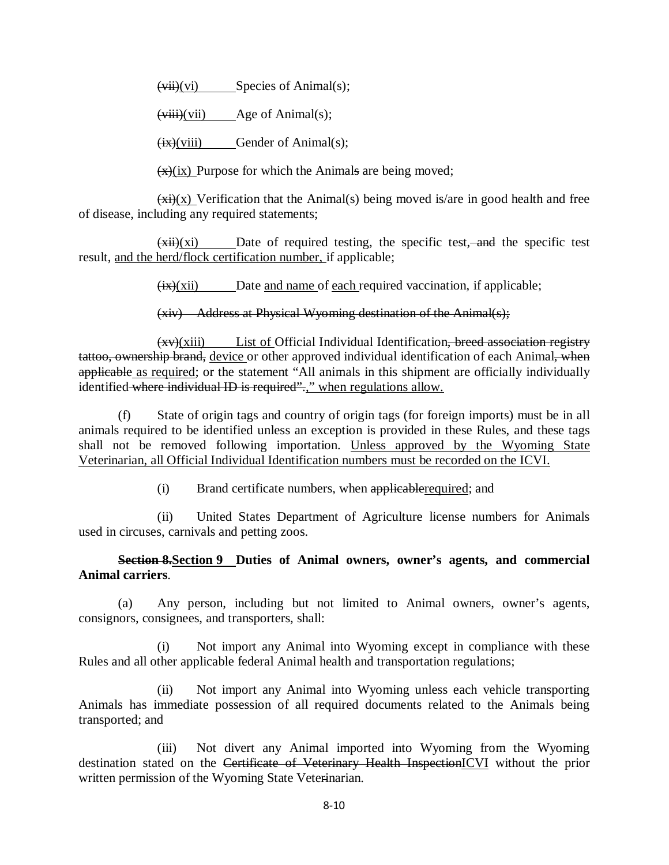$(vii)(vi)$  Species of Animal(s);

 $(viii)(vii)$  Age of Animal(s);

 $(ix)(viii)$  Gender of Animal(s);

 $\overline{(x)}$ (ix) Purpose for which the Animals are being moved;

 $\overrightarrow{xx}$ )(x) Verification that the Animal(s) being moved is/are in good health and free of disease, including any required statements;

 $(xii)(xi)$  Date of required testing, the specific test, and the specific test result, and the herd/flock certification number, if applicable;

 $(ix)(xii)$  Date and name of each required vaccination, if applicable;

(xiv) Address at Physical Wyoming destination of the Animal(s);

 $(xv)(xiii)$  List of Official Individual Identification, breed association registry tattoo, ownership brand, device or other approved individual identification of each Animal, when applicable as required; or the statement "All animals in this shipment are officially individually identified where individual ID is required".," when regulations allow.

(f) State of origin tags and country of origin tags (for foreign imports) must be in all animals required to be identified unless an exception is provided in these Rules, and these tags shall not be removed following importation. Unless approved by the Wyoming State Veterinarian, all Official Individual Identification numbers must be recorded on the ICVI.

(i) Brand certificate numbers, when applicablerequired; and

(ii) United States Department of Agriculture license numbers for Animals used in circuses, carnivals and petting zoos.

# **Section 8.Section 9 Duties of Animal owners, owner's agents, and commercial Animal carriers**.

(a) Any person, including but not limited to Animal owners, owner's agents, consignors, consignees, and transporters, shall:

(i) Not import any Animal into Wyoming except in compliance with these Rules and all other applicable federal Animal health and transportation regulations;

(ii) Not import any Animal into Wyoming unless each vehicle transporting Animals has immediate possession of all required documents related to the Animals being transported; and

(iii) Not divert any Animal imported into Wyoming from the Wyoming destination stated on the Certificate of Veterinary Health InspectionICVI without the prior written permission of the Wyoming State Veterinarian.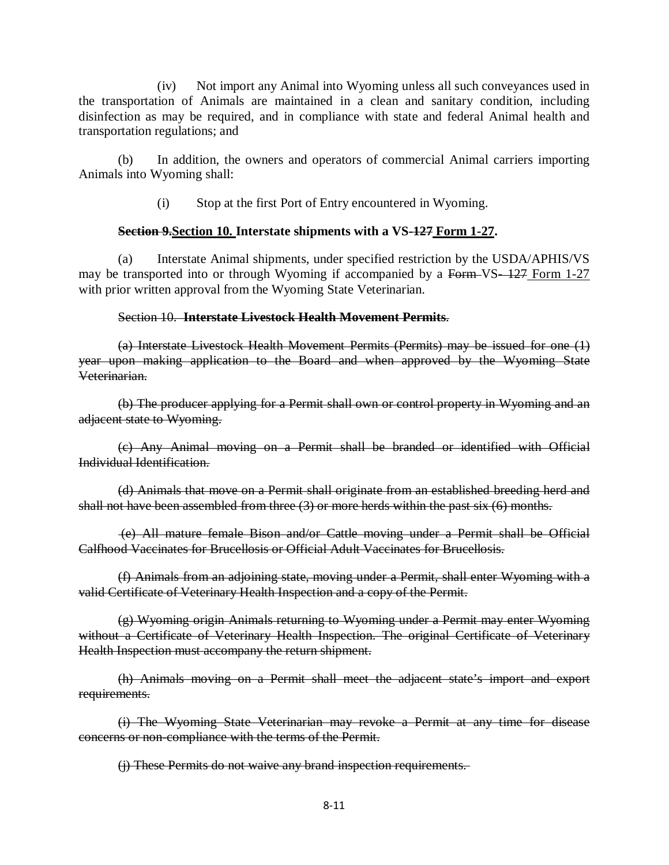(iv) Not import any Animal into Wyoming unless all such conveyances used in the transportation of Animals are maintained in a clean and sanitary condition, including disinfection as may be required, and in compliance with state and federal Animal health and transportation regulations; and

(b) In addition, the owners and operators of commercial Animal carriers importing Animals into Wyoming shall:

(i) Stop at the first Port of Entry encountered in Wyoming.

## **Section 9.Section 10. Interstate shipments with a VS-127 Form 1-27.**

(a) Interstate Animal shipments, under specified restriction by the USDA/APHIS/VS may be transported into or through Wyoming if accompanied by a Form VS-127 Form 1-27 with prior written approval from the Wyoming State Veterinarian.

## Section 10. **Interstate Livestock Health Movement Permits**.

(a) Interstate Livestock Health Movement Permits (Permits) may be issued for one (1) year upon making application to the Board and when approved by the Wyoming State Veterinarian.

(b) The producer applying for a Permit shall own or control property in Wyoming and an adjacent state to Wyoming.

(c) Any Animal moving on a Permit shall be branded or identified with Official Individual Identification.

(d) Animals that move on a Permit shall originate from an established breeding herd and shall not have been assembled from three  $(3)$  or more herds within the past six  $(6)$  months.

(e) All mature female Bison and/or Cattle moving under a Permit shall be Official Calfhood Vaccinates for Brucellosis or Official Adult Vaccinates for Brucellosis.

(f) Animals from an adjoining state, moving under a Permit, shall enter Wyoming with a valid Certificate of Veterinary Health Inspection and a copy of the Permit.

(g) Wyoming origin Animals returning to Wyoming under a Permit may enter Wyoming without a Certificate of Veterinary Health Inspection. The original Certificate of Veterinary Health Inspection must accompany the return shipment.

(h) Animals moving on a Permit shall meet the adjacent state's import and export requirements.

(i) The Wyoming State Veterinarian may revoke a Permit at any time for disease concerns or non-compliance with the terms of the Permit.

(j) These Permits do not waive any brand inspection requirements.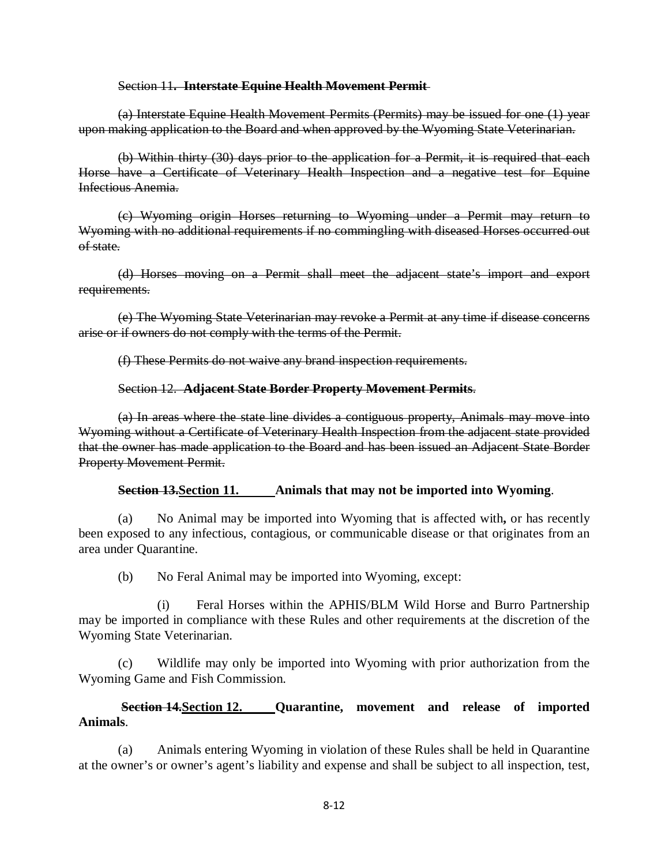#### Section 11**. Interstate Equine Health Movement Permit**

(a) Interstate Equine Health Movement Permits (Permits) may be issued for one (1) year upon making application to the Board and when approved by the Wyoming State Veterinarian.

(b) Within thirty (30) days prior to the application for a Permit, it is required that each Horse have a Certificate of Veterinary Health Inspection and a negative test for Equine Infectious Anemia.

(c) Wyoming origin Horses returning to Wyoming under a Permit may return to Wyoming with no additional requirements if no commingling with diseased Horses occurred out of state.

(d) Horses moving on a Permit shall meet the adjacent state's import and export requirements.

(e) The Wyoming State Veterinarian may revoke a Permit at any time if disease concerns arise or if owners do not comply with the terms of the Permit.

(f) These Permits do not waive any brand inspection requirements.

## Section 12. **Adjacent State Border Property Movement Permits**.

(a) In areas where the state line divides a contiguous property, Animals may move into Wyoming without a Certificate of Veterinary Health Inspection from the adjacent state provided that the owner has made application to the Board and has been issued an Adjacent State Border Property Movement Permit.

## **Section 13.Section 11. Animals that may not be imported into Wyoming**.

(a) No Animal may be imported into Wyoming that is affected with**,** or has recently been exposed to any infectious, contagious, or communicable disease or that originates from an area under Quarantine.

(b) No Feral Animal may be imported into Wyoming, except:

(i) Feral Horses within the APHIS/BLM Wild Horse and Burro Partnership may be imported in compliance with these Rules and other requirements at the discretion of the Wyoming State Veterinarian.

(c) Wildlife may only be imported into Wyoming with prior authorization from the Wyoming Game and Fish Commission.

# **Section 14.Section 12. Quarantine, movement and release of imported Animals**.

(a) Animals entering Wyoming in violation of these Rules shall be held in Quarantine at the owner's or owner's agent's liability and expense and shall be subject to all inspection, test,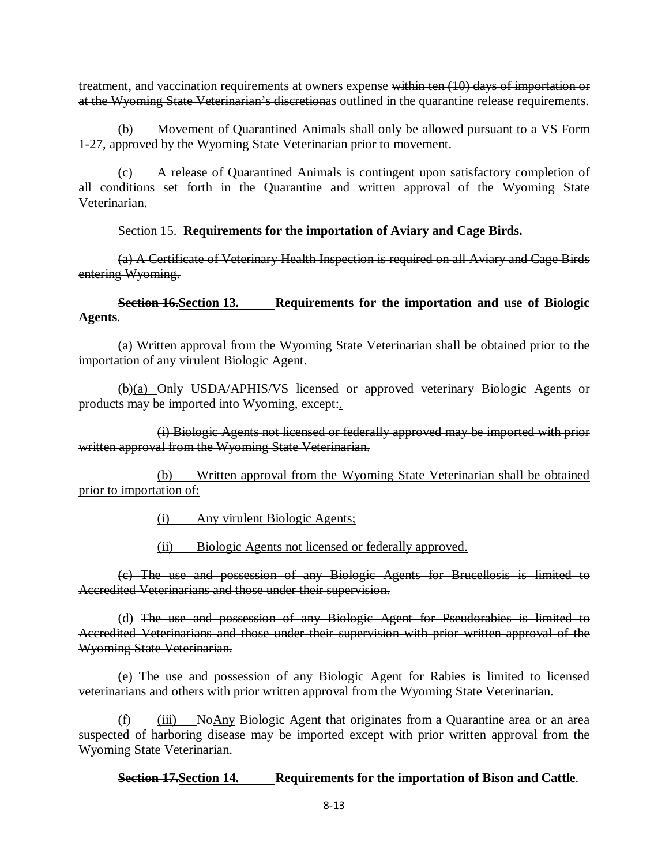treatment, and vaccination requirements at owners expense within ten (10) days of importation or at the Wyoming State Veterinarian's discretionas outlined in the quarantine release requirements.

(b) Movement of Quarantined Animals shall only be allowed pursuant to a VS Form 1-27, approved by the Wyoming State Veterinarian prior to movement.

(c) A release of Quarantined Animals is contingent upon satisfactory completion of all conditions set forth in the Quarantine and written approval of the Wyoming State Veterinarian.

Section 15. **Requirements for the importation of Aviary and Cage Birds.**

(a) A Certificate of Veterinary Health Inspection is required on all Aviary and Cage Birds entering Wyoming.

**Section 16. Section 13. ••• Requirements for the importation and use of Biologic Agents**.

(a) Written approval from the Wyoming State Veterinarian shall be obtained prior to the importation of any virulent Biologic Agent.

(b)(a) Only USDA/APHIS/VS licensed or approved veterinary Biologic Agents or products may be imported into Wyoming, except:

(i) Biologic Agents not licensed or federally approved may be imported with prior written approval from the Wyoming State Veterinarian.

(b) Written approval from the Wyoming State Veterinarian shall be obtained prior to importation of:

(i) Any virulent Biologic Agents;

(ii) Biologic Agents not licensed or federally approved.

(c) The use and possession of any Biologic Agents for Brucellosis is limited to Accredited Veterinarians and those under their supervision.

(d) The use and possession of any Biologic Agent for Pseudorabies is limited to Accredited Veterinarians and those under their supervision with prior written approval of the Wyoming State Veterinarian.

(e) The use and possession of any Biologic Agent for Rabies is limited to licensed veterinarians and others with prior written approval from the Wyoming State Veterinarian.

 $(f)$  (iii) No Any Biologic Agent that originates from a Quarantine area or an area suspected of harboring disease-may be imported except with prior written approval from the Wyoming State Veterinarian.

**Section 17.Section 14. Requirements for the importation of Bison and Cattle**.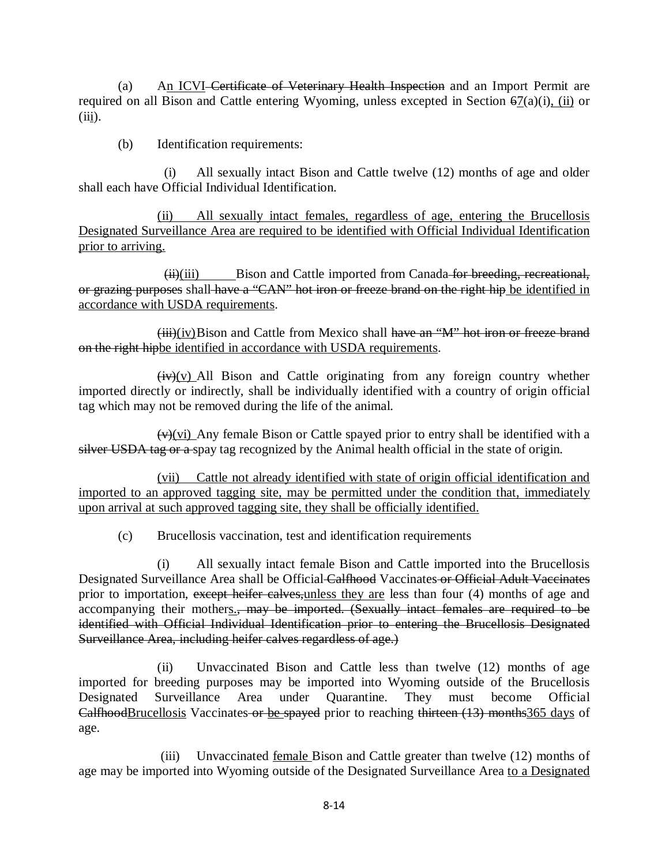(a) An ICVI Certificate of Veterinary Health Inspection and an Import Permit are required on all Bison and Cattle entering Wyoming, unless excepted in Section  $\frac{67(a)(i)}{i}$  or  $(iii)$ .

(b) Identification requirements:

 (i) All sexually intact Bison and Cattle twelve (12) months of age and older shall each have Official Individual Identification.

(ii) All sexually intact females, regardless of age, entering the Brucellosis Designated Surveillance Area are required to be identified with Official Individual Identification prior to arriving.

 $(iii)(iii)$  Bison and Cattle imported from Canada for breeding, recreational, or grazing purposes shall-have a "CAN" hot iron or freeze brand on the right hip be identified in accordance with USDA requirements.

 $(iii)(iv)$ Bison and Cattle from Mexico shall have an "M" hot iron or freeze brand on the right hipbe identified in accordance with USDA requirements.

 $(iv)(v)$  All Bison and Cattle originating from any foreign country whether imported directly or indirectly, shall be individually identified with a country of origin official tag which may not be removed during the life of the animal.

 $(v)$ (vi) Any female Bison or Cattle spayed prior to entry shall be identified with a silver USDA tag or a spay tag recognized by the Animal health official in the state of origin.

(vii) Cattle not already identified with state of origin official identification and imported to an approved tagging site, may be permitted under the condition that, immediately upon arrival at such approved tagging site, they shall be officially identified.

(c) Brucellosis vaccination, test and identification requirements

(i) All sexually intact female Bison and Cattle imported into the Brucellosis Designated Surveillance Area shall be Official Calfhood Vaccinates or Official Adult Vaccinates prior to importation, except heifer calves, unless they are less than four (4) months of age and accompanying their mothers., may be imported. (Sexually intact females are required to be identified with Official Individual Identification prior to entering the Brucellosis Designated Surveillance Area, including heifer calves regardless of age.)

(ii) Unvaccinated Bison and Cattle less than twelve (12) months of age imported for breeding purposes may be imported into Wyoming outside of the Brucellosis Designated Surveillance Area under Quarantine. They must become Official CalfhoodBrucellosis Vaccinates or be spayed prior to reaching thirteen (13) months365 days of age.

(iii) Unvaccinated <u>female</u> Bison and Cattle greater than twelve (12) months of age may be imported into Wyoming outside of the Designated Surveillance Area to a Designated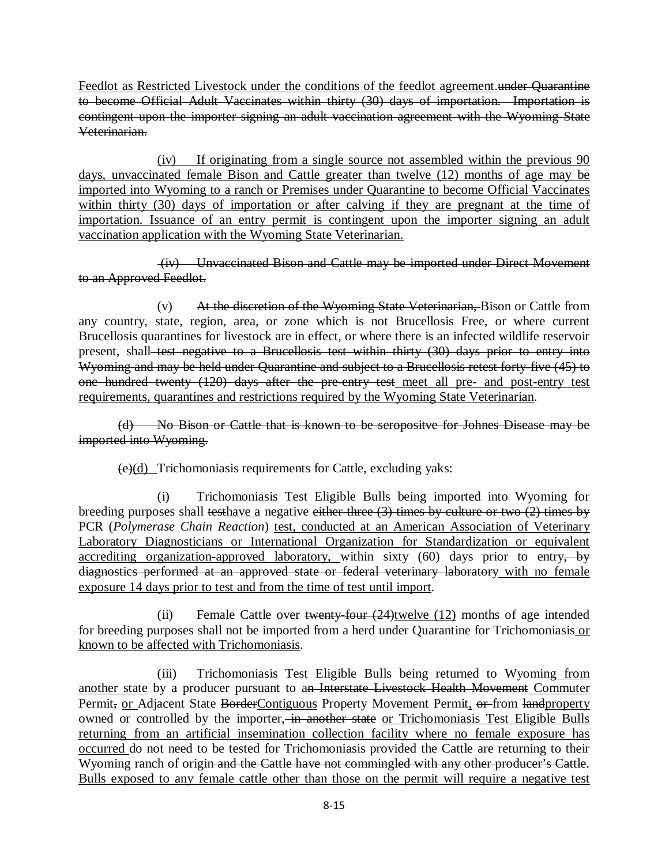Feedlot as Restricted Livestock under the conditions of the feedlot agreement.under Quarantine to become Official Adult Vaccinates within thirty (30) days of importation. Importation is contingent upon the importer signing an adult vaccination agreement with the Wyoming State Veterinarian.

(iv) If originating from a single source not assembled within the previous 90 days, unvaccinated female Bison and Cattle greater than twelve (12) months of age may be imported into Wyoming to a ranch or Premises under Quarantine to become Official Vaccinates within thirty (30) days of importation or after calving if they are pregnant at the time of importation. Issuance of an entry permit is contingent upon the importer signing an adult vaccination application with the Wyoming State Veterinarian.

(iv) Unvaccinated Bison and Cattle may be imported under Direct Movement to an Approved Feedlot.

(v) At the discretion of the Wyoming State Veterinarian, Bison or Cattle from any country, state, region, area, or zone which is not Brucellosis Free, or where current Brucellosis quarantines for livestock are in effect, or where there is an infected wildlife reservoir present, shall test negative to a Brucellosis test within thirty (30) days prior to entry into Wyoming and may be held under Quarantine and subject to a Brucellosis retest forty-five (45) to one hundred twenty (120) days after the pre-entry test meet all pre- and post-entry test requirements, quarantines and restrictions required by the Wyoming State Veterinarian.

(d) No Bison or Cattle that is known to be seropositve for Johnes Disease may be imported into Wyoming.

 $(e)(d)$  Trichomoniasis requirements for Cattle, excluding yaks:

(i) Trichomoniasis Test Eligible Bulls being imported into Wyoming for breeding purposes shall testhave a negative either three (3) times by culture or two (2) times by PCR (*Polymerase Chain Reaction*) test, conducted at an American Association of Veterinary Laboratory Diagnosticians or International Organization for Standardization or equivalent accrediting organization-approved laboratory, within sixty (60) days prior to entry, by diagnostics performed at an approved state or federal veterinary laboratory with no female exposure 14 days prior to test and from the time of test until import.

(ii) Female Cattle over twenty-four  $(24)$ twelve  $(12)$  months of age intended for breeding purposes shall not be imported from a herd under Quarantine for Trichomoniasis or known to be affected with Trichomoniasis.

(iii) Trichomoniasis Test Eligible Bulls being returned to Wyoming from another state by a producer pursuant to an Interstate Livestock Health Movement Commuter Permit, or Adjacent State BorderContiguous Property Movement Permit, or-from landproperty owned or controlled by the importer, in another state or Trichomoniasis Test Eligible Bulls returning from an artificial insemination collection facility where no female exposure has occurred do not need to be tested for Trichomoniasis provided the Cattle are returning to their Wyoming ranch of origin and the Cattle have not commingled with any other producer's Cattle. Bulls exposed to any female cattle other than those on the permit will require a negative test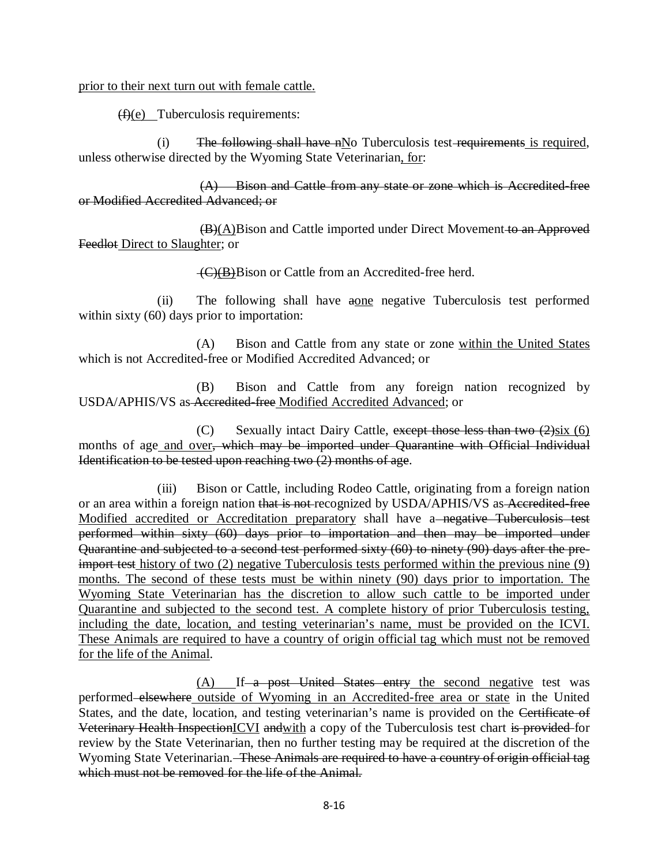prior to their next turn out with female cattle.

 $(f)(e)$  Tuberculosis requirements:

(i) The following shall have  $n\text{No}$  Tuberculosis test-requirements is required, unless otherwise directed by the Wyoming State Veterinarian, for:

(A) Bison and Cattle from any state or zone which is Accredited-free or Modified Accredited Advanced; or

(B)(A)Bison and Cattle imported under Direct Movement to an Approved Feedlot Direct to Slaughter; or

(C)(B)Bison or Cattle from an Accredited-free herd.

(ii) The following shall have aone negative Tuberculosis test performed within sixty (60) days prior to importation:

(A) Bison and Cattle from any state or zone within the United States which is not Accredited-free or Modified Accredited Advanced; or

(B) Bison and Cattle from any foreign nation recognized by USDA/APHIS/VS as Accredited-free Modified Accredited Advanced; or

(C) Sexually intact Dairy Cattle, except those less than two  $(2)$ six (6) months of age and over, which may be imported under Quarantine with Official Individual Identification to be tested upon reaching two (2) months of age.

(iii) Bison or Cattle, including Rodeo Cattle, originating from a foreign nation or an area within a foreign nation that is not-recognized by USDA/APHIS/VS as Accredited-free Modified accredited or Accreditation preparatory shall have a<del> negative Tuberculosis test</del> performed within sixty (60) days prior to importation and then may be imported under Quarantine and subjected to a second test performed sixty (60) to ninety (90) days after the preimport test history of two (2) negative Tuberculosis tests performed within the previous nine (9) months. The second of these tests must be within ninety (90) days prior to importation. The Wyoming State Veterinarian has the discretion to allow such cattle to be imported under Quarantine and subjected to the second test. A complete history of prior Tuberculosis testing, including the date, location, and testing veterinarian's name, must be provided on the ICVI. These Animals are required to have a country of origin official tag which must not be removed for the life of the Animal.

(A) If a post United States entry the second negative test was performed elsewhere outside of Wyoming in an Accredited-free area or state in the United States, and the date, location, and testing veterinarian's name is provided on the Certificate of Veterinary Health InspectionICVI andwith a copy of the Tuberculosis test chart is provided for review by the State Veterinarian, then no further testing may be required at the discretion of the Wyoming State Veterinarian. These Animals are required to have a country of origin official tag which must not be removed for the life of the Animal.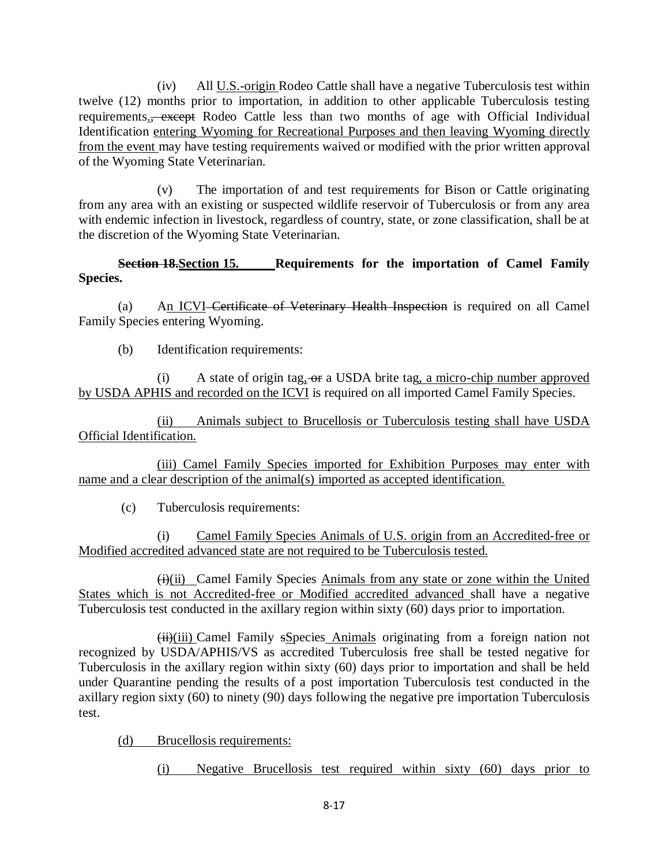(iv) All U.S.-origin Rodeo Cattle shall have a negative Tuberculosis test within twelve (12) months prior to importation, in addition to other applicable Tuberculosis testing requirements.<del>, except</del> Rodeo Cattle less than two months of age with Official Individual Identification entering Wyoming for Recreational Purposes and then leaving Wyoming directly from the event may have testing requirements waived or modified with the prior written approval of the Wyoming State Veterinarian.

(v) The importation of and test requirements for Bison or Cattle originating from any area with an existing or suspected wildlife reservoir of Tuberculosis or from any area with endemic infection in livestock, regardless of country, state, or zone classification, shall be at the discretion of the Wyoming State Veterinarian.

**Section 18. Section 15. ••• Requirements for the importation of Camel Family Species.**

(a) An ICVI Certificate of Veterinary Health Inspection is required on all Camel Family Species entering Wyoming.

(b) Identification requirements:

(i) A state of origin tag, or a USDA brite tag, a micro-chip number approved by USDA APHIS and recorded on the ICVI is required on all imported Camel Family Species.

(ii) Animals subject to Brucellosis or Tuberculosis testing shall have USDA Official Identification.

 (iii) Camel Family Species imported for Exhibition Purposes may enter with name and a clear description of the animal(s) imported as accepted identification.

(c) Tuberculosis requirements:

(i) Camel Family Species Animals of U.S. origin from an Accredited-free or Modified accredited advanced state are not required to be Tuberculosis tested.

 $(H)$ (ii) Camel Family Species Animals from any state or zone within the United States which is not Accredited-free or Modified accredited advanced shall have a negative Tuberculosis test conducted in the axillary region within sixty (60) days prior to importation.

 $(H<sub>i</sub>)(iii)$  Camel Family sSpecies Animals originating from a foreign nation not recognized by USDA/APHIS/VS as accredited Tuberculosis free shall be tested negative for Tuberculosis in the axillary region within sixty (60) days prior to importation and shall be held under Quarantine pending the results of a post importation Tuberculosis test conducted in the axillary region sixty (60) to ninety (90) days following the negative pre importation Tuberculosis test.

(d) Brucellosis requirements:

(i) Negative Brucellosis test required within sixty (60) days prior to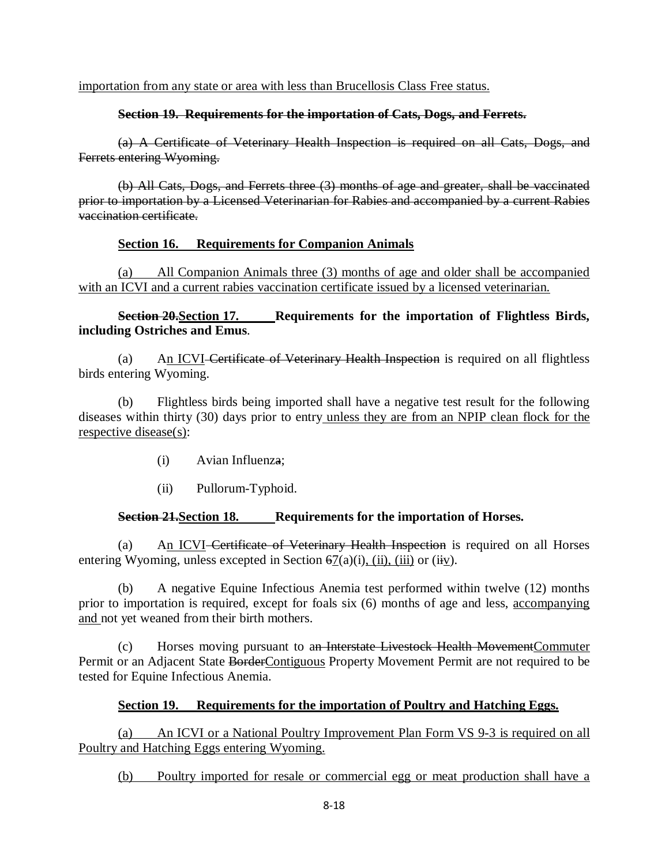importation from any state or area with less than Brucellosis Class Free status.

## **Section 19. Requirements for the importation of Cats, Dogs, and Ferrets.**

(a) A Certificate of Veterinary Health Inspection is required on all Cats, Dogs, and Ferrets entering Wyoming.

(b) All Cats, Dogs, and Ferrets three (3) months of age and greater, shall be vaccinated prior to importation by a Licensed Veterinarian for Rabies and accompanied by a current Rabies vaccination certificate.

# **Section 16. Requirements for Companion Animals**

(a) All Companion Animals three (3) months of age and older shall be accompanied with an ICVI and a current rabies vaccination certificate issued by a licensed veterinarian.

**Section 20. Section 17. ••• Requirements for the importation of Flightless Birds, including Ostriches and Emus**.

(a) An ICVI Certificate of Veterinary Health Inspection is required on all flightless birds entering Wyoming.

(b) Flightless birds being imported shall have a negative test result for the following diseases within thirty (30) days prior to entry unless they are from an NPIP clean flock for the respective disease(s):

- (i) Avian Influenza;
- (ii) Pullorum-Typhoid.

# **Section 21. Section 18. ••• Requirements for the importation of Horses.**

(a) An ICVI Certificate of Veterinary Health Inspection is required on all Horses entering Wyoming, unless excepted in Section  $67(a)(i)$ , (ii), (iii) or (iiv).

(b) A negative Equine Infectious Anemia test performed within twelve (12) months prior to importation is required, except for foals six (6) months of age and less, accompanying and not yet weaned from their birth mothers.

(c) Horses moving pursuant to an Interstate Livestock Health MovementCommuter Permit or an Adjacent State BorderContiguous Property Movement Permit are not required to be tested for Equine Infectious Anemia.

# **Section 19. Requirements for the importation of Poultry and Hatching Eggs.**

(a) An ICVI or a National Poultry Improvement Plan Form VS 9-3 is required on all Poultry and Hatching Eggs entering Wyoming.

(b) Poultry imported for resale or commercial egg or meat production shall have a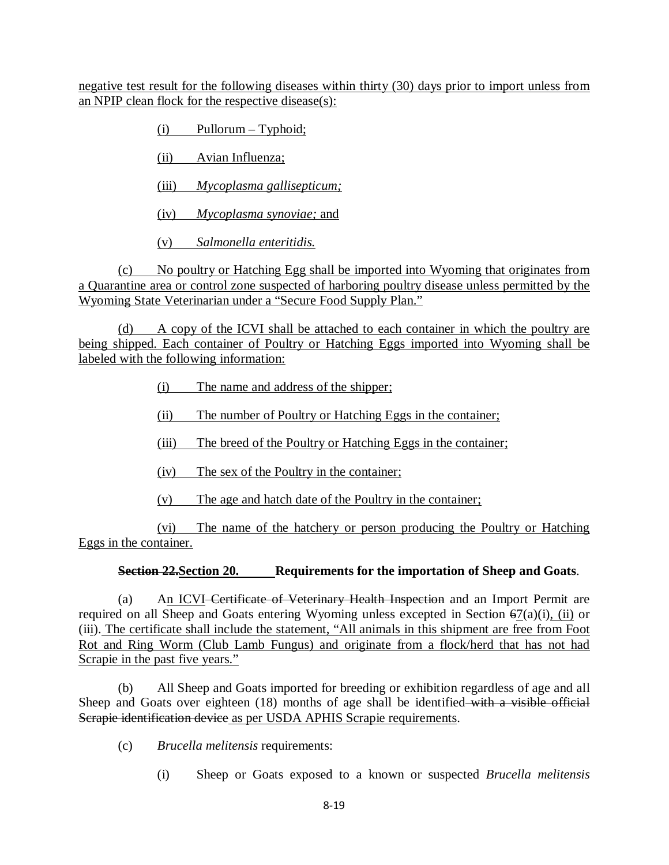negative test result for the following diseases within thirty (30) days prior to import unless from an NPIP clean flock for the respective disease(s):

 $(i)$  Pullorum – Typhoid;

(ii) Avian Influenza;

(iii) *Mycoplasma gallisepticum;*

(iv) *Mycoplasma synoviae;* and

(v) *Salmonella enteritidis.*

(c) No poultry or Hatching Egg shall be imported into Wyoming that originates from a Quarantine area or control zone suspected of harboring poultry disease unless permitted by the Wyoming State Veterinarian under a "Secure Food Supply Plan."

(d) A copy of the ICVI shall be attached to each container in which the poultry are being shipped. Each container of Poultry or Hatching Eggs imported into Wyoming shall be labeled with the following information:

- (i) The name and address of the shipper;
- (ii) The number of Poultry or Hatching Eggs in the container;
- (iii) The breed of the Poultry or Hatching Eggs in the container;
- (iv) The sex of the Poultry in the container;
- (v) The age and hatch date of the Poultry in the container;

(vi) The name of the hatchery or person producing the Poultry or Hatching Eggs in the container.

# **Section 22.Section 20. Requirements for the importation of Sheep and Goats**.

(a) An ICVI-Certificate of Veterinary Health Inspection and an Import Permit are required on all Sheep and Goats entering Wyoming unless excepted in Section 67(a)(i), (ii) or (iii). The certificate shall include the statement, "All animals in this shipment are free from Foot Rot and Ring Worm (Club Lamb Fungus) and originate from a flock/herd that has not had Scrapie in the past five years."

(b) All Sheep and Goats imported for breeding or exhibition regardless of age and all Sheep and Goats over eighteen (18) months of age shall be identified with a visible official Scrapie identification device as per USDA APHIS Scrapie requirements.

- (c) *Brucella melitensis* requirements:
	- (i) Sheep or Goats exposed to a known or suspected *Brucella melitensis*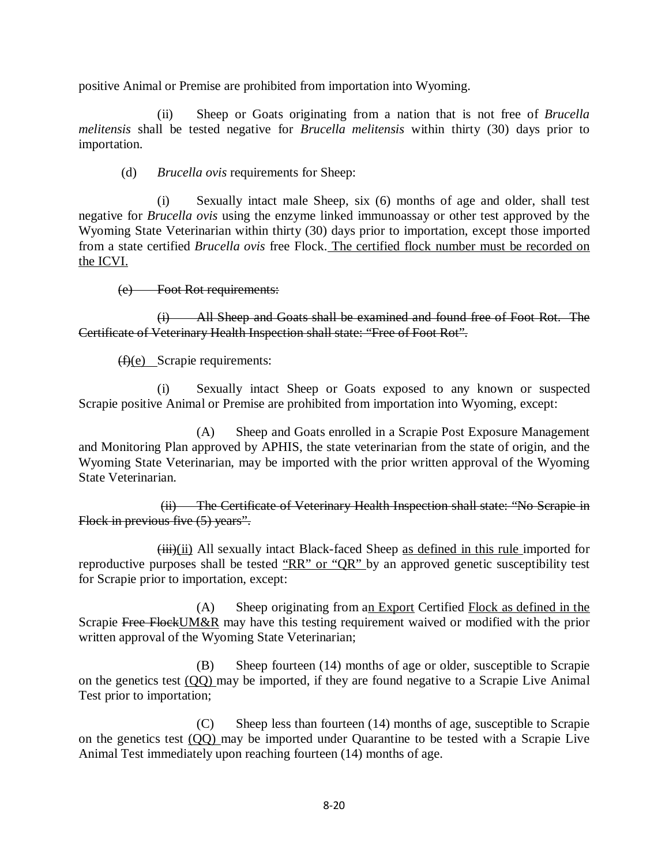positive Animal or Premise are prohibited from importation into Wyoming.

(ii) Sheep or Goats originating from a nation that is not free of *Brucella melitensis* shall be tested negative for *Brucella melitensis* within thirty (30) days prior to importation.

(d) *Brucella ovis* requirements for Sheep:

(i) Sexually intact male Sheep, six (6) months of age and older, shall test negative for *Brucella ovis* using the enzyme linked immunoassay or other test approved by the Wyoming State Veterinarian within thirty (30) days prior to importation, except those imported from a state certified *Brucella ovis* free Flock. The certified flock number must be recorded on the ICVI.

(e) Foot Rot requirements:

(i) All Sheep and Goats shall be examined and found free of Foot Rot. The Certificate of Veterinary Health Inspection shall state: "Free of Foot Rot".

(f)(e) Scrapie requirements:

(i) Sexually intact Sheep or Goats exposed to any known or suspected Scrapie positive Animal or Premise are prohibited from importation into Wyoming, except:

(A) Sheep and Goats enrolled in a Scrapie Post Exposure Management and Monitoring Plan approved by APHIS, the state veterinarian from the state of origin, and the Wyoming State Veterinarian, may be imported with the prior written approval of the Wyoming State Veterinarian.

(ii) The Certificate of Veterinary Health Inspection shall state: "No Scrapie in Flock in previous five (5) years".

(iii)(ii) All sexually intact Black-faced Sheep as defined in this rule imported for reproductive purposes shall be tested "RR" or "QR" by an approved genetic susceptibility test for Scrapie prior to importation, except:

(A) Sheep originating from an Export Certified Flock as defined in the Scrapie Free FlockUM&R may have this testing requirement waived or modified with the prior written approval of the Wyoming State Veterinarian;

(B) Sheep fourteen (14) months of age or older, susceptible to Scrapie on the genetics test (QQ) may be imported, if they are found negative to a Scrapie Live Animal Test prior to importation;

(C) Sheep less than fourteen (14) months of age, susceptible to Scrapie on the genetics test (QQ) may be imported under Quarantine to be tested with a Scrapie Live Animal Test immediately upon reaching fourteen (14) months of age.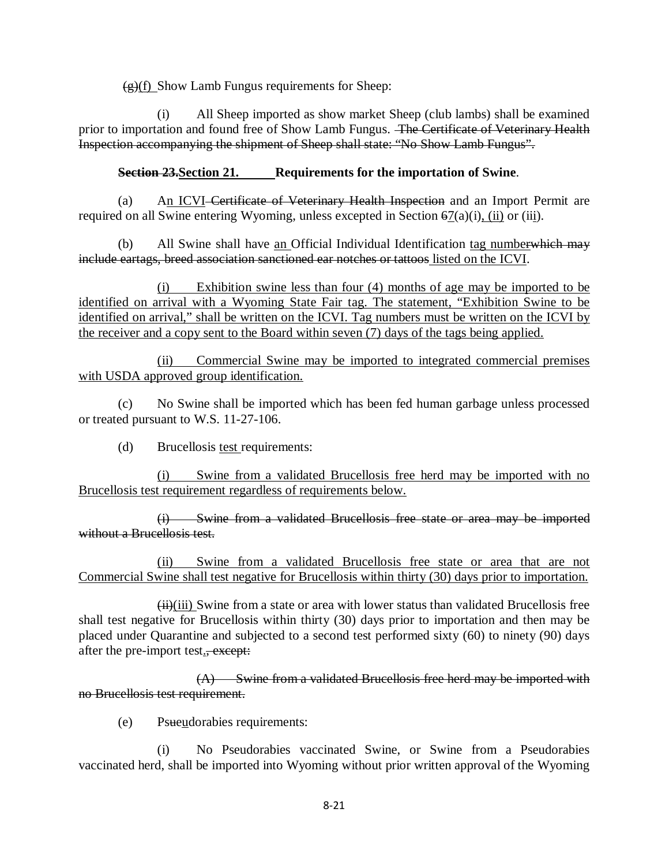$\left(\frac{\mathbf{e}}{\mathbf{e}}\right)$  Show Lamb Fungus requirements for Sheep:

(i) All Sheep imported as show market Sheep (club lambs) shall be examined prior to importation and found free of Show Lamb Fungus. The Certificate of Veterinary Health Inspection accompanying the shipment of Sheep shall state: "No Show Lamb Fungus".

# **Section 23.Section 21. Requirements for the importation of Swine**.

(a) An ICVI Certificate of Veterinary Health Inspection and an Import Permit are required on all Swine entering Wyoming, unless excepted in Section 67(a)(i), (ii) or (iii).

(b) All Swine shall have an Official Individual Identification tag numberwhich may include eartags, breed association sanctioned ear notches or tattoos listed on the ICVI.

(i) Exhibition swine less than four (4) months of age may be imported to be identified on arrival with a Wyoming State Fair tag. The statement, "Exhibition Swine to be identified on arrival," shall be written on the ICVI. Tag numbers must be written on the ICVI by the receiver and a copy sent to the Board within seven (7) days of the tags being applied.

(ii) Commercial Swine may be imported to integrated commercial premises with USDA approved group identification.

(c) No Swine shall be imported which has been fed human garbage unless processed or treated pursuant to W.S. 11-27-106.

(d) Brucellosis test requirements:

(i) Swine from a validated Brucellosis free herd may be imported with no Brucellosis test requirement regardless of requirements below.

(i) Swine from a validated Brucellosis free state or area may be imported without a Brucellosis test.

(ii) Swine from a validated Brucellosis free state or area that are not Commercial Swine shall test negative for Brucellosis within thirty (30) days prior to importation.

 $\overleftrightarrow{\mathbf{H}}$ (iii) Swine from a state or area with lower status than validated Brucellosis free shall test negative for Brucellosis within thirty (30) days prior to importation and then may be placed under Quarantine and subjected to a second test performed sixty (60) to ninety (90) days after the pre-import test., except:

(A) Swine from a validated Brucellosis free herd may be imported with no Brucellosis test requirement.

(e) Psueudorabies requirements:

(i) No Pseudorabies vaccinated Swine, or Swine from a Pseudorabies vaccinated herd, shall be imported into Wyoming without prior written approval of the Wyoming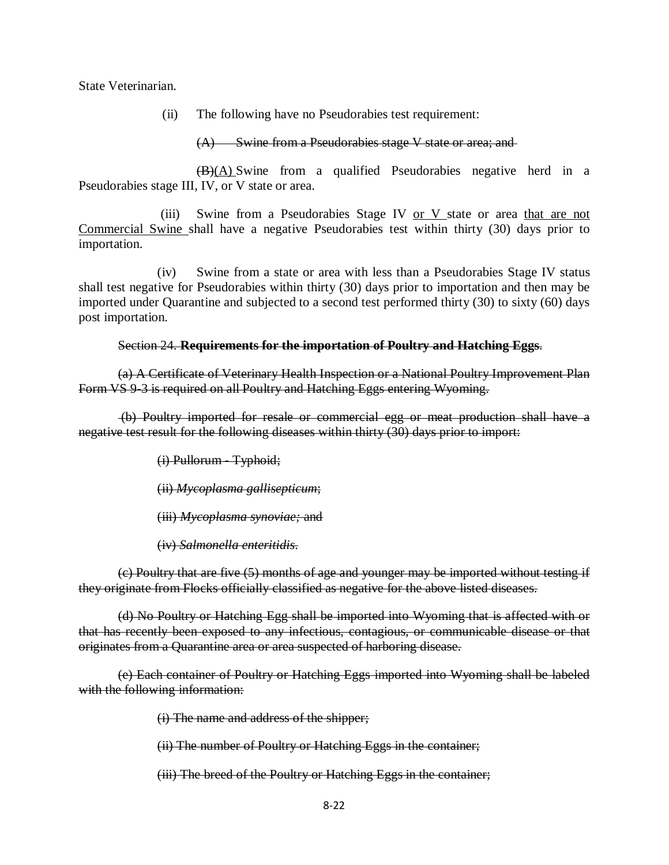State Veterinarian.

(ii) The following have no Pseudorabies test requirement:

(A) Swine from a Pseudorabies stage V state or area; and

(B)(A) Swine from a qualified Pseudorabies negative herd in a Pseudorabies stage III, IV, or V state or area.

(iii) Swine from a Pseudorabies Stage IV or  $V$  state or area that are not Commercial Swine shall have a negative Pseudorabies test within thirty (30) days prior to importation.

(iv) Swine from a state or area with less than a Pseudorabies Stage IV status shall test negative for Pseudorabies within thirty (30) days prior to importation and then may be imported under Quarantine and subjected to a second test performed thirty (30) to sixty (60) days post importation.

## Section 24. **Requirements for the importation of Poultry and Hatching Eggs**.

(a) A Certificate of Veterinary Health Inspection or a National Poultry Improvement Plan Form VS 9-3 is required on all Poultry and Hatching Eggs entering Wyoming.

(b) Poultry imported for resale or commercial egg or meat production shall have a negative test result for the following diseases within thirty (30) days prior to import:

(i) Pullorum - Typhoid;

(ii) *Mycoplasma gallisepticum*;

(iii) *Mycoplasma synoviae;* and

(iv) *Salmonella enteritidis*.

(c) Poultry that are five (5) months of age and younger may be imported without testing if they originate from Flocks officially classified as negative for the above listed diseases.

(d) No Poultry or Hatching Egg shall be imported into Wyoming that is affected with or that has recently been exposed to any infectious, contagious, or communicable disease or that originates from a Quarantine area or area suspected of harboring disease.

(e) Each container of Poultry or Hatching Eggs imported into Wyoming shall be labeled with the following information:

(i) The name and address of the shipper;

(ii) The number of Poultry or Hatching Eggs in the container;

(iii) The breed of the Poultry or Hatching Eggs in the container;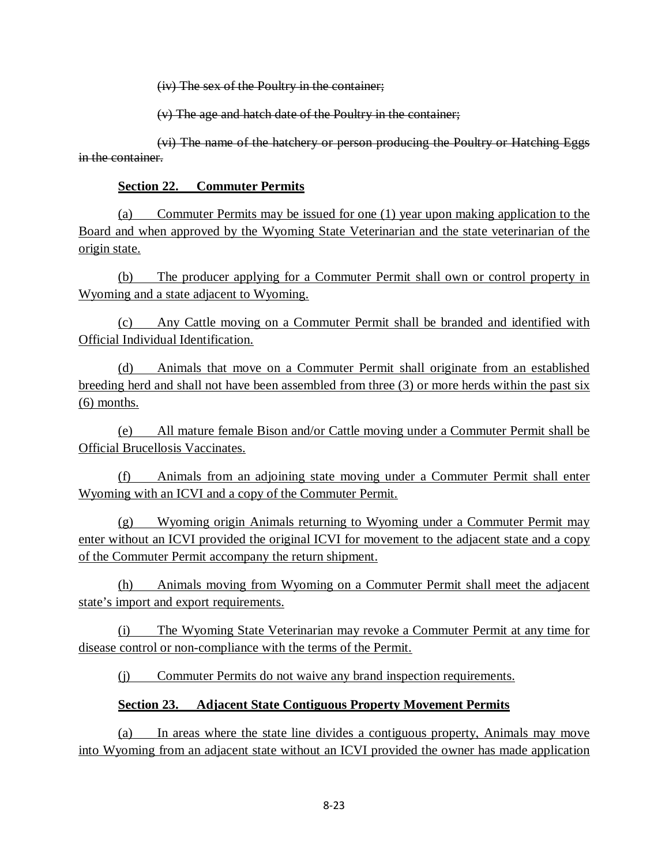(iv) The sex of the Poultry in the container;

(v) The age and hatch date of the Poultry in the container;

(vi) The name of the hatchery or person producing the Poultry or Hatching Eggs in the container.

## **Section 22. Commuter Permits**

(a) Commuter Permits may be issued for one (1) year upon making application to the Board and when approved by the Wyoming State Veterinarian and the state veterinarian of the origin state.

(b) The producer applying for a Commuter Permit shall own or control property in Wyoming and a state adjacent to Wyoming.

(c) Any Cattle moving on a Commuter Permit shall be branded and identified with Official Individual Identification.

(d) Animals that move on a Commuter Permit shall originate from an established breeding herd and shall not have been assembled from three (3) or more herds within the past six (6) months.

(e) All mature female Bison and/or Cattle moving under a Commuter Permit shall be Official Brucellosis Vaccinates.

(f) Animals from an adjoining state moving under a Commuter Permit shall enter Wyoming with an ICVI and a copy of the Commuter Permit.

(g) Wyoming origin Animals returning to Wyoming under a Commuter Permit may enter without an ICVI provided the original ICVI for movement to the adjacent state and a copy of the Commuter Permit accompany the return shipment.

(h) Animals moving from Wyoming on a Commuter Permit shall meet the adjacent state's import and export requirements.

(i) The Wyoming State Veterinarian may revoke a Commuter Permit at any time for disease control or non-compliance with the terms of the Permit.

(j) Commuter Permits do not waive any brand inspection requirements.

# **Section 23. Adjacent State Contiguous Property Movement Permits**

(a) In areas where the state line divides a contiguous property, Animals may move into Wyoming from an adjacent state without an ICVI provided the owner has made application